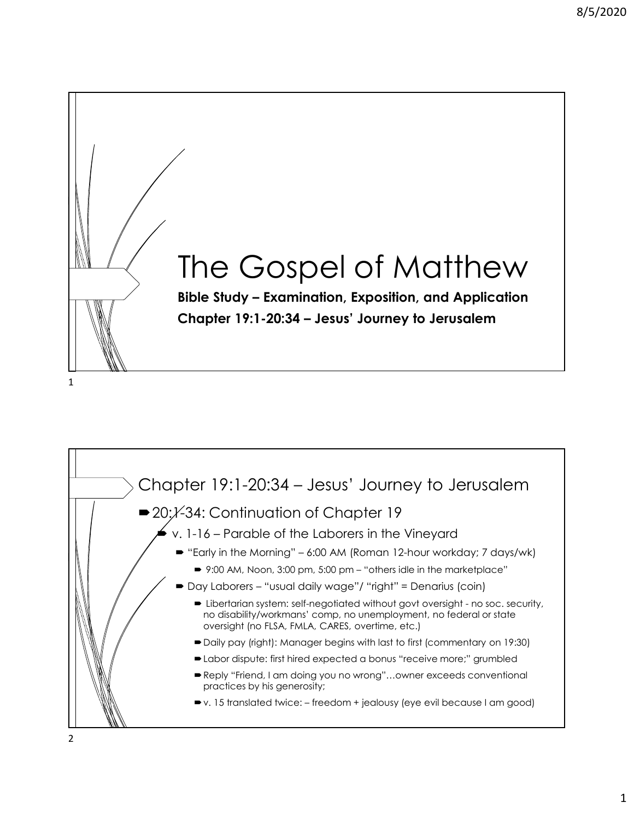